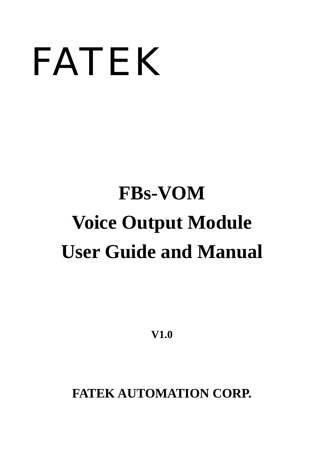# FATEK

## **FBs-VOM Voice Output Module User Guide and Manual**

**V1.0** 

**FATEK AUTOMATION CORP.**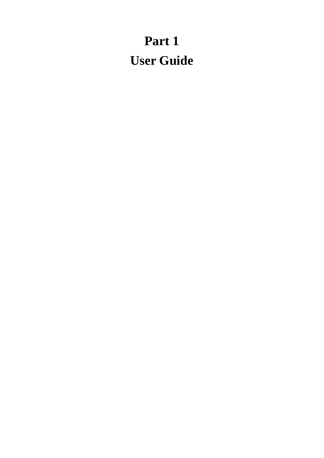## **Part 1 User Guide**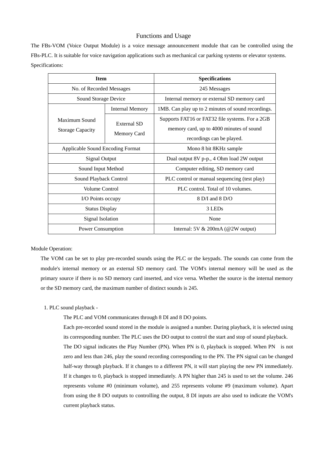#### Functions and Usage

The FBs-VOM (Voice Output Module) is a voice message announcement module that can be controlled using the FBs-PLC. It is suitable for voice navigation applications such as mechanical car parking systems or elevator systems. Specifications:

| <b>Item</b>                             |                        | <b>Specifications</b>                              |  |  |
|-----------------------------------------|------------------------|----------------------------------------------------|--|--|
| No. of Recorded Messages                |                        | 245 Messages                                       |  |  |
| Sound Storage Device                    |                        | Internal memory or external SD memory card         |  |  |
|                                         | <b>Internal Memory</b> | 1MB. Can play up to 2 minutes of sound recordings. |  |  |
| Maximum Sound                           | External SD            | Supports FAT16 or FAT32 file systems. For a 2GB    |  |  |
| <b>Storage Capacity</b>                 |                        | memory card, up to 4000 minutes of sound           |  |  |
|                                         | Memory Card            | recordings can be played.                          |  |  |
| <b>Applicable Sound Encoding Format</b> |                        | Mono 8 bit 8KHz sample                             |  |  |
| <b>Signal Output</b>                    |                        | Dual output 8V p-p., 4 Ohm load 2W output          |  |  |
| Sound Input Method                      |                        | Computer editing, SD memory card                   |  |  |
| Sound Playback Control                  |                        | PLC control or manual sequencing (test play)       |  |  |
| Volume Control                          |                        | PLC control. Total of 10 volumes.                  |  |  |
| I/O Points occupy                       |                        | 8 D/I and 8 D/O                                    |  |  |
| <b>Status Display</b>                   |                        | 3 LEDs                                             |  |  |
| Signal Isolation                        |                        | None                                               |  |  |
| Power Consumption                       |                        | Internal: $5V & 200mA$ (@2W output)                |  |  |

Module Operation:

The VOM can be set to play pre-recorded sounds using the PLC or the keypads. The sounds can come from the module's internal memory or an external SD memory card. The VOM's internal memory will be used as the primary source if there is no SD memory card inserted, and vice versa. Whether the source is the internal memory or the SD memory card, the maximum number of distinct sounds is 245.

1. PLC sound playback -

The PLC and VOM communicates through 8 DI and 8 DO points.

Each pre-recorded sound stored in the module is assigned a number. During playback, it is selected using its corresponding number. The PLC uses the DO output to control the start and stop of sound playback. The DO signal indicates the Play Number (PN). When PN is 0, playback is stopped. When PN is not zero and less than 246, play the sound recording corresponding to the PN. The PN signal can be changed half-way through playback. If it changes to a different PN, it will start playing the new PN immediately. If it changes to 0, playback is stopped immediately. A PN higher than 245 is used to set the volume. 246 represents volume #0 (minimum volume), and 255 represents volume #9 (maximum volume). Apart from using the 8 DO outputs to controlling the output, 8 DI inputs are also used to indicate the VOM's current playback status.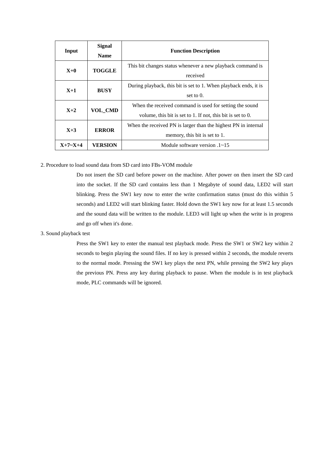| Input                | Signal<br><b>Name</b> | <b>Function Description</b>                                      |  |  |  |
|----------------------|-----------------------|------------------------------------------------------------------|--|--|--|
|                      | <b>TOGGLE</b>         | This bit changes status whenever a new playback command is       |  |  |  |
| $X+0$                |                       | received                                                         |  |  |  |
| <b>BUSY</b><br>$X+1$ |                       | During playback, this bit is set to 1. When playback ends, it is |  |  |  |
|                      |                       | set to $0$ .                                                     |  |  |  |
| $X+2$                | <b>VOL CMD</b>        | When the received command is used for setting the sound          |  |  |  |
|                      |                       | volume, this bit is set to 1. If not, this bit is set to 0.      |  |  |  |
|                      |                       | When the received PN is larger than the highest PN in internal   |  |  |  |
| $X+3$                | <b>ERROR</b>          | memory, this bit is set to 1.                                    |  |  |  |
| $X+7-X+4$            | VERSION               | Module software version $.1 \sim 15$                             |  |  |  |

2. Procedure to load sound data from SD card into FBs-VOM module

Do not insert the SD card before power on the machine. After power on then insert the SD card into the socket. If the SD card contains less than 1 Megabyte of sound data, LED2 will start blinking. Press the SW1 key now to enter the write confirmation status (must do this within 5 seconds) and LED2 will start blinking faster. Hold down the SW1 key now for at least 1.5 seconds and the sound data will be written to the module. LED3 will light up when the write is in progress and go off when it's done.

3. Sound playback test

Press the SW1 key to enter the manual test playback mode. Press the SW1 or SW2 key within 2 seconds to begin playing the sound files. If no key is pressed within 2 seconds, the module reverts to the normal mode. Pressing the SW1 key plays the next PN, while pressing the SW2 key plays the previous PN. Press any key during playback to pause. When the module is in test playback mode, PLC commands will be ignored.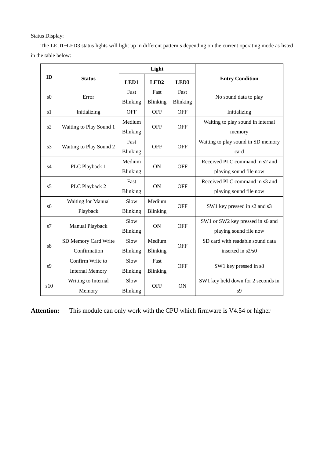Status Display:

The LED1~LED3 status lights will light up in different pattern s depending on the current operating mode as listed in the table below:

|                |                         |                 | Light            |                 |                                    |
|----------------|-------------------------|-----------------|------------------|-----------------|------------------------------------|
| ID             | <b>Status</b>           | LED1            | LED <sub>2</sub> | LED3            | <b>Entry Condition</b>             |
| s <sub>0</sub> | Error                   | Fast            | Fast             | Fast            |                                    |
|                |                         | Blinking        | Blinking         | <b>Blinking</b> | No sound data to play              |
| s1             | Initializing            | <b>OFF</b>      | <b>OFF</b>       | <b>OFF</b>      | Initializing                       |
|                |                         | Medium          |                  |                 | Waiting to play sound in internal  |
| s2             | Waiting to Play Sound 1 | Blinking        | <b>OFF</b>       | <b>OFF</b>      | memory                             |
| s <sup>3</sup> |                         | Fast            |                  |                 | Waiting to play sound in SD memory |
|                | Waiting to Play Sound 2 | Blinking        | <b>OFF</b>       | <b>OFF</b>      | card                               |
|                |                         | Medium          |                  |                 | Received PLC command in s2 and     |
| s4             | PLC Playback 1          | <b>Blinking</b> | ON               | <b>OFF</b>      | playing sound file now             |
| s <sub>5</sub> |                         | Fast            |                  | <b>OFF</b>      | Received PLC command in s3 and     |
|                | PLC Playback 2          | Blinking        | <b>ON</b>        |                 | playing sound file now             |
| s6             | Waiting for Manual      | Slow            | Medium           | <b>OFF</b>      |                                    |
|                | Playback                | <b>Blinking</b> | Blinking         |                 | SW1 key pressed in s2 and s3       |
| s7             |                         | Slow            | ON               | <b>OFF</b>      | SW1 or SW2 key pressed in s6 and   |
|                | Manual Playback         | Blinking        |                  |                 | playing sound file now             |
| s8             | SD Memory Card Write    | Slow            | Medium           | <b>OFF</b>      | SD card with readable sound data   |
|                | Confirmation            | Blinking        | Blinking         |                 | inserted in s2/s0                  |
| s <sub>9</sub> | Confirm Write to        | Slow            | Fast             | <b>OFF</b>      |                                    |
|                | <b>Internal Memory</b>  | Blinking        | Blinking         |                 | SW1 key pressed in s8              |
| s10            | Writing to Internal     | Slow            | <b>OFF</b>       | <b>ON</b>       | SW1 key held down for 2 seconds in |
|                | Memory                  | Blinking        |                  |                 | s <sub>9</sub>                     |

**Attention:** This module can only work with the CPU which firmware is V4.54 or higher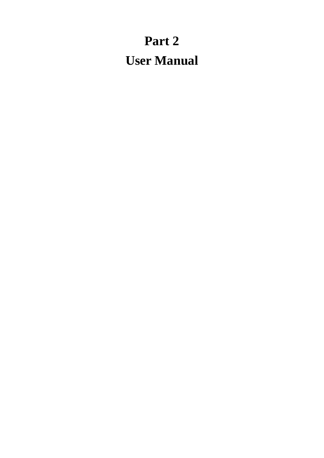## **Part 2 User Manual**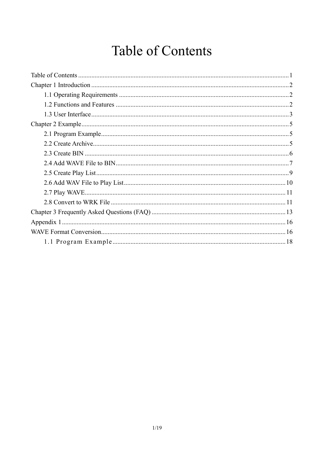## Table of Contents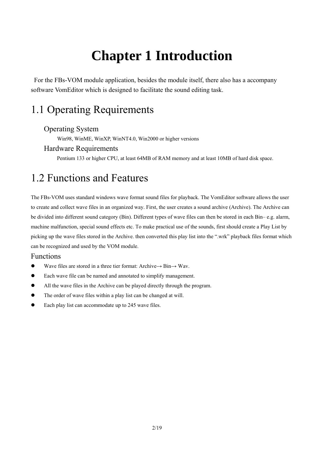## **Chapter 1 Introduction**

 For the FBs-VOM module application, besides the module itself, there also has a accompany software VomEditor which is designed to facilitate the sound editing task.

## 1.1 Operating Requirements

#### Operating System

Win98, WinME, WinXP, WinNT4.0, Win2000 or higher versions

#### Hardware Requirements

Pentium 133 or higher CPU, at least 64MB of RAM memory and at least 10MB of hard disk space.

## 1.2 Functions and Features

The FBs-VOM uses standard windows wave format sound files for playback. The VomEditor software allows the user to create and collect wave files in an organized way. First, the user creates a sound archive (Archive). The Archive can be divided into different sound category (Bin). Different types of wave files can then be stored in each Bin– e.g. alarm, machine malfunction, special sound effects etc. To make practical use of the sounds, first should create a Play List by picking up the wave files stored in the Archive. then converted this play list into the ".wrk" playback files format which can be recognized and used by the VOM module.

#### Functions

- $\bullet$  Wave files are stored in a three tier format: Archive $\rightarrow$  Bin $\rightarrow$  Wav.
- Each wave file can be named and annotated to simplify management.
- All the wave files in the Archive can be played directly through the program.
- The order of wave files within a play list can be changed at will.
- Each play list can accommodate up to 245 wave files.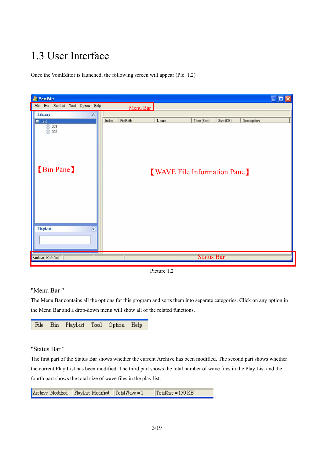## 1.3 User Interface

Once the VomEditor is launched, the following screen will appear (Pic. 1.2)



Picture 1.2

#### "Menu Bar "

The Menu Bar contains all the options for this program and sorts them into separate categories. Click on any option in the Menu Bar and a drop-down menu will show all of the related functions.

File **Bin** Tool Option Help PlayList

#### "Status Bar "

The first part of the Status Bar shows whether the current Archive has been modified. The second part shows whether the current Play List has been modified. The third part shows the total number of wave files in the Play List and the fourth part shows the total size of wave files in the play list.

Archive Modified  $\sqrt{\text{TotalWave}} = 1$ TotalSize =  $130$  KB PlayList Modified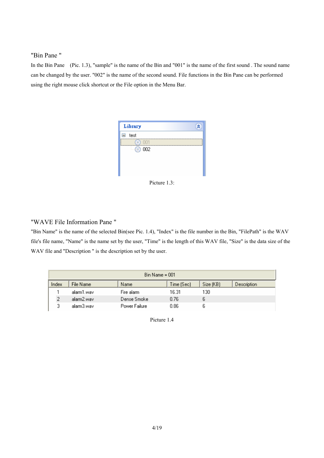#### "Bin Pane "

In the Bin Pane (Pic. 1.3), "sample" is the name of the Bin and "001" is the name of the first sound . The sound name can be changed by the user. "002" is the name of the second sound. File functions in the Bin Pane can be performed using the right mouse click shortcut or the File option in the Menu Bar.



Picture 1.3:

#### "WAVE File Information Pane "

"Bin Name" is the name of the selected Bin(see Pic. 1.4), "Index" is the file number in the Bin, "FilePath" is the WAV file's file name, "Name" is the name set by the user, "Time" is the length of this WAV file, "Size" is the data size of the WAV file and "Description " is the description set by the user.

|       | $Bin Name = 001$ |               |            |           |                    |  |  |  |  |
|-------|------------------|---------------|------------|-----------|--------------------|--|--|--|--|
| Index | File Name        | Name          | Time (Sec) | Size (KB) | <b>Description</b> |  |  |  |  |
|       | alarm1.wav       | Fire alarm    | 16.31      | 130       |                    |  |  |  |  |
|       | alarm2.wav       | Dense Smoke   | 0.76       |           |                    |  |  |  |  |
| 3.    | alarm3.wav       | Power Failure | 0.86       |           |                    |  |  |  |  |

Picture 1.4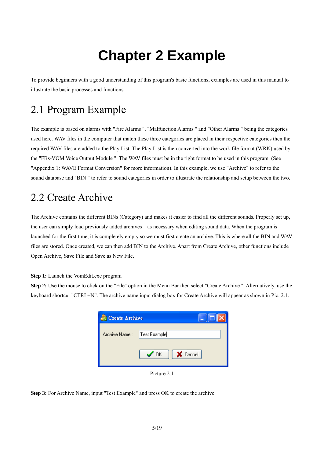## **Chapter 2 Example**

To provide beginners with a good understanding of this program's basic functions, examples are used in this manual to illustrate the basic processes and functions.

## 2.1 Program Example

The example is based on alarms with "Fire Alarms ", "Malfunction Alarms " and "Other Alarms " being the categories used here. WAV files in the computer that match these three categories are placed in their respective categories then the required WAV files are added to the Play List. The Play List is then converted into the work file format (WRK) used by the "FBs-VOM Voice Output Module ". The WAV files must be in the right format to be used in this program. (See "Appendix 1: WAVE Format Conversion" for more information). In this example, we use "Archive" to refer to the sound database and "BIN " to refer to sound categories in order to illustrate the relationship and setup between the two.

## 2.2 Create Archive

The Archive contains the different BINs (Category) and makes it easier to find all the different sounds. Properly set up, the user can simply load previously added archives as necessary when editing sound data. When the program is launched for the first time, it is completely empty so we must first create an archive. This is where all the BIN and WAV files are stored. Once created, we can then add BIN to the Archive. Apart from Create Archive, other functions include Open Archive, Save File and Save as New File.

**Step 1:** Launch the VomEdit.exe program

**Step 2:** Use the mouse to click on the "File" option in the Menu Bar then select "Create Archive ". Alternatively, use the keyboard shortcut "CTRL+N". The archive name input dialog box for Create Archive will appear as shown in Pic. 2.1.

| <b>Create Archive</b> |                               |
|-----------------------|-------------------------------|
| Archive Name:         | Test Example                  |
|                       | <b>X</b> Cancel<br>$\sqrt{a}$ |

Picture 2.1

**Step 3:** For Archive Name, input "Test Example" and press OK to create the archive.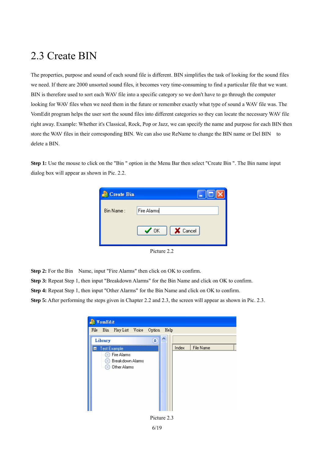## 2.3 Create BIN

The properties, purpose and sound of each sound file is different. BIN simplifies the task of looking for the sound files we need. If there are 2000 unsorted sound files, it becomes very time-consuming to find a particular file that we want. BIN is therefore used to sort each WAV file into a specific category so we don't have to go through the computer looking for WAV files when we need them in the future or remember exactly what type of sound a WAV file was. The VomEdit program helps the user sort the sound files into different categories so they can locate the necessary WAV file right away. Example: Whether it's Classical, Rock, Pop or Jazz, we can specify the name and purpose for each BIN then store the WAV files in their corresponding BIN. We can also use ReName to change the BIN name or Del BIN to delete a BIN.

**Step 1:** Use the mouse to click on the "Bin " option in the Menu Bar then select "Create Bin ". The Bin name input dialog box will appear as shown in Pic. 2.2.

| <b>Create Bin</b> |                        |
|-------------------|------------------------|
| Bin Name:         | Fire Alarms            |
|                   | X Cancel<br>$\sqrt{a}$ |

Picture 2.2

**Step 2:** For the Bin Name, input "Fire Alarms" then click on OK to confirm.

**Step 3:** Repeat Step 1, then input "Breakdown Alarms" for the Bin Name and click on OK to confirm.

**Step 4:** Repeat Step 1, then input "Other Alarms" for the Bin Name and click on OK to confirm.

**Step 5:** After performing the steps given in Chapter 2.2 and 2.3, the screen will appear as shown in Pic. 2.3.



6/19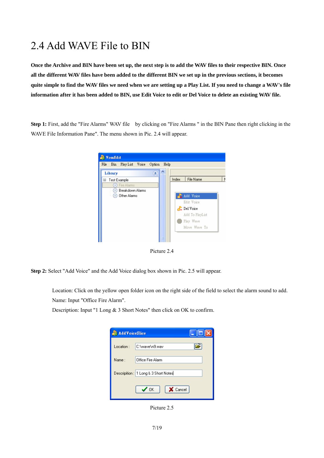## 2.4 Add WAVE File to BIN

**Once the Archive and BIN have been set up, the next step is to add the WAV files to their respective BIN. Once all the different WAV files have been added to the different BIN we set up in the previous sections, it becomes quite simple to find the WAV files we need when we are setting up a Play List. If you need to change a WAV's file information after it has been added to BIN, use Edit Voice to edit or Del Voice to delete an existing WAV file.** 

**Step 1:** First, add the "Fire Alarms" WAV file by clicking on "Fire Alarms " in the BIN Pane then right clicking in the WAVE File Information Pane". The menu shown in Pic. 2.4 will appear.



Picture 2.4

**Step 2:** Select "Add Voice" and the Add Voice dialog box shown in Pic. 2.5 will appear.

 Location: Click on the yellow open folder icon on the right side of the field to select the alarm sound to add. Name: Input "Office Fire Alarm".

Description: Input "1 Long & 3 Short Notes" then click on OK to confirm.

| <b>AddVoiceSlice</b> |                                      |  |
|----------------------|--------------------------------------|--|
| Location:            | C:\wave\n9.wav                       |  |
| Name:                | Office Fire Alarm                    |  |
|                      | Descripition: 1 Long & 3 Short Notes |  |
|                      | X Cancel<br>$\checkmark$ ok          |  |

Picture 2.5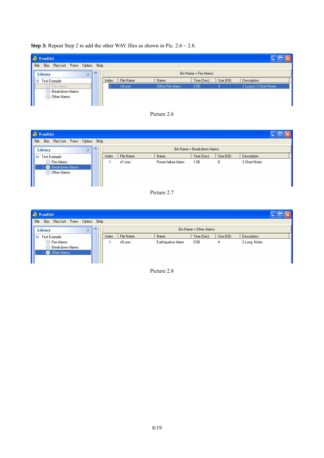#### **Step 3:** Repeat Step 2 to add the other WAV files as shown in Pic.  $2.6 \sim 2.8$ .

| <b>VomEdit</b>                                                     |       |           |                   |                        |           |                        |
|--------------------------------------------------------------------|-------|-----------|-------------------|------------------------|-----------|------------------------|
| Play List Voice Option Help<br>File<br>Bin                         |       |           |                   |                        |           |                        |
| $\lambda$<br>交<br>Library                                          |       |           |                   | Bin Name = Fire Alarms |           |                        |
| Test Example<br>Ξ                                                  | Index | File Name | Name              | Time (Sec)             | Size (KB) | <b>Description</b>     |
| Fire Alarms<br>Breakdown Alarms<br>$\circ$<br>Other Alarms<br>(a.) |       | n9.wav    | Office Fire Alarm | 0.50                   |           | 1 Long & 3 Short Notes |



| <b>FomEdit</b>                                                           |           |       |           |                     |                             |           |               |  |
|--------------------------------------------------------------------------|-----------|-------|-----------|---------------------|-----------------------------|-----------|---------------|--|
| File<br>Bin Play List Voice Option Help<br>Library                       | $\lambda$ |       |           |                     | Bin Name = Breakdown Alarms |           |               |  |
| Test Example<br>Ξ                                                        |           | Index | File Name | Name                | Time (Sec)                  | Size (KB) | Description   |  |
| Fire Alarms<br>Co)<br><b>C</b> Breakdown Alarms<br><b>O</b> Other Alarms |           |       | n1.wav    | Power failure Alarm | 1.00                        | 8         | 3 Short Notes |  |



| Fig VomEdit                                                           |                                             |       |           |                   |                         |           |              |  |
|-----------------------------------------------------------------------|---------------------------------------------|-------|-----------|-------------------|-------------------------|-----------|--------------|--|
| File<br>Bin<br>Play List Voice Option Help                            |                                             |       |           |                   |                         |           |              |  |
| Library                                                               | $\boldsymbol{\wedge}$<br>$\hat{\mathbf{x}}$ |       |           |                   | Bin Name = Other Alarms |           |              |  |
| Test Example<br>Ξ                                                     |                                             | Index | File Name | Name              | Time (Sec)              | Size (KB) | Description  |  |
| <b>C</b> Fire Alarms<br>Breakdown Alarms<br>$\circ$<br>- Other Alarms |                                             |       | n5.wav    | Earthquakes Alarm | 0.50                    | 4         | 2 Long Notes |  |

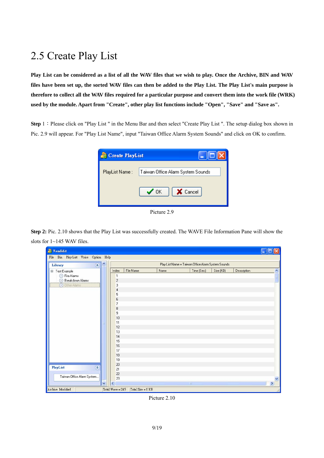## 2.5 Create Play List

**Play List can be considered as a list of all the WAV files that we wish to play. Once the Archive, BIN and WAV files have been set up, the sorted WAV files can then be added to the Play List. The Play List's main purpose is therefore to collect all the WAV files required for a particular purpose and convert them into the work file (WRK)**  used by the module. Apart from "Create", other play list functions include "Open", "Save" and "Save as".

**Step** 1: Please click on "Play List " in the Menu Bar and then select "Create Play List ". The setup dialog box shown in Pic. 2.9 will appear. For "Play List Name", input "Taiwan Office Alarm System Sounds" and click on OK to confirm.



Picture 2.9

**Step 2:** Pic. 2.10 shows that the Play List was successfully created. The WAVE File Information Pane will show the slots for 1~145 WAV files.

| <b>PromEdit</b>                         |                      |                   |      |                                                    |           |             | m             |
|-----------------------------------------|----------------------|-------------------|------|----------------------------------------------------|-----------|-------------|---------------|
| Bin Play List Voice Option Help<br>File |                      |                   |      |                                                    |           |             |               |
| ٨<br>$\hat{\mathbf{x}}$<br>Library      |                      |                   |      | Play List Name = Taiwan Office Alarm System Sounds |           |             |               |
| □ Test Example                          | Index                | File Name         | Name | Time (Sec)                                         | Size (KB) | Description |               |
| Fire Alarms                             | 1                    |                   |      |                                                    |           |             |               |
| Breakdown Alarms                        | $\overline{c}$       |                   |      |                                                    |           |             |               |
| <b>O</b> Other Alarms                   | 3                    |                   |      |                                                    |           |             |               |
|                                         | 4                    |                   |      |                                                    |           |             |               |
|                                         | 5                    |                   |      |                                                    |           |             |               |
|                                         | 6                    |                   |      |                                                    |           |             |               |
|                                         | 7                    |                   |      |                                                    |           |             |               |
|                                         | 8                    |                   |      |                                                    |           |             |               |
|                                         | $\overline{9}$<br>10 |                   |      |                                                    |           |             |               |
|                                         | 11                   |                   |      |                                                    |           |             |               |
| 目                                       | 12                   |                   |      |                                                    |           |             |               |
|                                         | 13                   |                   |      |                                                    |           |             |               |
|                                         | 14                   |                   |      |                                                    |           |             |               |
|                                         | 15                   |                   |      |                                                    |           |             |               |
|                                         | 16                   |                   |      |                                                    |           |             |               |
|                                         | 17                   |                   |      |                                                    |           |             |               |
|                                         | 18                   |                   |      |                                                    |           |             |               |
|                                         | 19                   |                   |      |                                                    |           |             |               |
| $\hat{\mathbf{x}}$                      | 20                   |                   |      |                                                    |           |             |               |
| <b>PlayList</b>                         | 21                   |                   |      |                                                    |           |             |               |
| Taiwan Office Alarm System              | 22                   |                   |      |                                                    |           |             |               |
|                                         | 23                   |                   |      |                                                    |           |             |               |
| v                                       | ⋖                    |                   |      | $\mathbb{H}\mathbb{H}$                             |           |             | $\rightarrow$ |
| Archive Modified                        | Total Wave = 245     | Total Size = 0 KB |      |                                                    |           |             |               |

Picture 2.10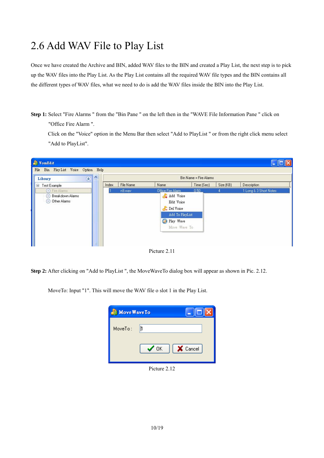## 2.6 Add WAV File to Play List

Once we have created the Archive and BIN, added WAV files to the BIN and created a Play List, the next step is to pick up the WAV files into the Play List. As the Play List contains all the required WAV file types and the BIN contains all the different types of WAV files, what we need to do is add the WAV files inside the BIN into the Play List.

**Step 1:** Select "Fire Alarms " from the "Bin Pane " on the left then in the "WAVE File Information Pane " click on "Office Fire Alarm ".

Click on the "Voice" option in the Menu Bar then select "Add to PlayList " or from the right click menu select "Add to PlayList".



Picture 2.11

**Step 2:** After clicking on "Add to PlayList ", the MoveWaveTo dialog box will appear as shown in Pic. 2.12.

MoveTo: Input "1". This will move the WAV file o slot 1 in the Play List.

| <b>Move Wave To</b> |                               |
|---------------------|-------------------------------|
| MoveTo:             | h                             |
|                     | <b>X</b> Cancel<br>$\sqrt{a}$ |

Picture 2.12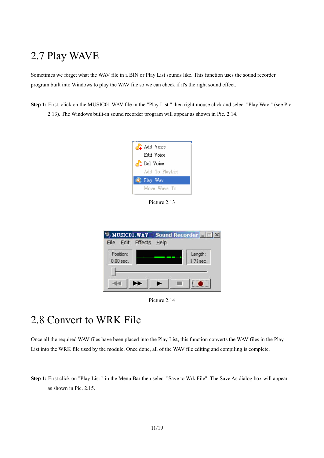## 2.7 Play WAVE

Sometimes we forget what the WAV file in a BIN or Play List sounds like. This function uses the sound recorder program built into Windows to play the WAV file so we can check if it's the right sound effect.

**Step 1:** First, click on the MUSIC01.WAV file in the "Play List " then right mouse click and select "Play Wav " (see Pic. 2.13). The Windows built-in sound recorder program will appear as shown in Pic. 2.14.



Picture 2.13



Picture 2.14

## 2.8 Convert to WRK File

Once all the required WAV files have been placed into the Play List, this function converts the WAV files in the Play List into the WRK file used by the module. Once done, all of the WAV file editing and compiling is complete.

**Step 1:** First click on "Play List " in the Menu Bar then select "Save to Wrk File". The Save As dialog box will appear as shown in Pic. 2.15.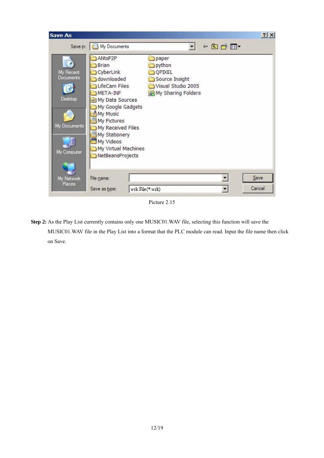

Picture 2.15

**Step 2:** As the Play List currently contains only one MUSIC01.WAV file, selecting this function will save the MUSIC01.WAV file in the Play List into a format that the PLC module can read. Input the file name then click on Save.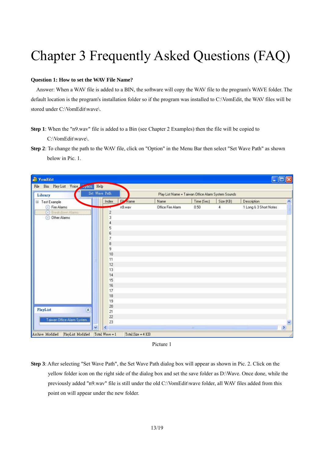## Chapter 3 Frequently Asked Questions (FAQ)

#### **Question 1: How to set the WAV File Name?**

Answer: When a WAV file is added to a BIN, the software will copy the WAV file to the program's WAVE folder. The default location is the program's installation folder so if the program was installed to C:\VomEdit, the WAV files will be stored under C:\VomEdit\wave\.

- **Step 1**: When the "n9.wav" file is added to a Bin (see Chapter 2 Examples) then the file will be copied to C:\VomEdit\wave\.
- **Step 2**: To change the path to the WAV file, click on "Option" in the Menu Bar then select "Set Wave Path" as shown below in Pic. 1.

| <b>PomEdit</b>                           |                  |                      |                                                    |            |                | i.                              |
|------------------------------------------|------------------|----------------------|----------------------------------------------------|------------|----------------|---------------------------------|
| Bin Play List Voice puon<br>Help<br>File |                  |                      |                                                    |            |                |                                 |
| Set Wave Path<br>Library                 |                  |                      | Play List Name = Taiwan Office Alarm System Sounds |            |                |                                 |
| □ Test Example                           | Index            | F <sup>il</sup> Name | Name                                               | Time (Sec) | Size (KB)      | Description<br>$\blacktriangle$ |
| <b>S</b> Fire Alarms                     |                  | n9.wav               | Office Fire Alarm                                  | 0.50       | $\overline{4}$ | 1 Long & 3 Short Notes          |
| <b>Breakdown Alarms</b>                  | $\overline{c}$   |                      |                                                    |            |                |                                 |
| Other Alarms<br>$\odot$                  | 3                |                      |                                                    |            |                |                                 |
|                                          | 4                |                      |                                                    |            |                |                                 |
|                                          | 5                |                      |                                                    |            |                |                                 |
|                                          | 6                |                      |                                                    |            |                |                                 |
|                                          | 7                |                      |                                                    |            |                |                                 |
|                                          | 8                |                      |                                                    |            |                |                                 |
|                                          | $\overline{9}$   |                      |                                                    |            |                |                                 |
|                                          | 10               |                      |                                                    |            |                |                                 |
|                                          | 11               |                      |                                                    |            |                |                                 |
|                                          | 12               |                      |                                                    |            |                |                                 |
|                                          | 13<br>14         |                      |                                                    |            |                |                                 |
|                                          | 15               |                      |                                                    |            |                |                                 |
|                                          | 16               |                      |                                                    |            |                |                                 |
|                                          | 17               |                      |                                                    |            |                |                                 |
|                                          | 18               |                      |                                                    |            |                |                                 |
|                                          | 19               |                      |                                                    |            |                |                                 |
|                                          | 20               |                      |                                                    |            |                |                                 |
| $\hat{\mathbf{x}}$<br><b>PlayList</b>    | 21               |                      |                                                    |            |                |                                 |
|                                          | 22               |                      |                                                    |            |                |                                 |
| Taiwan Office Alarm System               | 23               |                      |                                                    |            |                |                                 |
| $\checkmark$                             |                  |                      |                                                    | ШĪ         |                | $\,$                            |
| Archive Modified<br>PlayList Modified    | Total Wave $= 1$ | Total Size = $4$ KB  |                                                    |            |                |                                 |

Picture 1

**Step 3**: After selecting "Set Wave Path", the Set Wave Path dialog box will appear as shown in Pic. 2. Click on the yellow folder icon on the right side of the dialog box and set the save folder as D:\Wave. Once done, while the previously added "n9.wav" file is still under the old C:\VomEdit\wave folder, all WAV files added from this point on will appear under the new folder.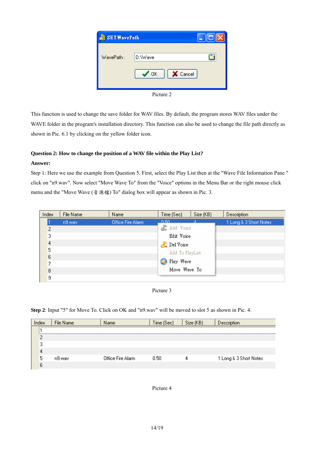

Picture 2

This function is used to change the save folder for WAV files. By default, the program stores WAV files under the WAVE folder in the program's installation directory. This function can also be used to change the file path directly as shown in Pic. 6.1 by clicking on the yellow folder icon.

#### **Question 2: How to change the position of a WAV file within the Play List?**

#### **Answer:**

Step 1: Here we use the example from Question 5. First, select the Play List then at the "Wave File Information Pane " click on "n9.wav". Now select "Move Wave To" from the "Voice" options in the Menu Bar or the right mouse click menu and the "Move Wave (音源檔) To" dialog box will appear as shown in Pic. 3.

| Index | File Name | Name              | Time (Sec)         | Size (KB) | Description            |
|-------|-----------|-------------------|--------------------|-----------|------------------------|
|       | n9.wav    | Office Fire Alarm | <u>n 50.</u>       |           | 1 Long & 3 Short Notes |
| 2     |           |                   | Add Voice          |           |                        |
| 3     |           |                   | Edit Voice         |           |                        |
| 4     |           |                   | <b>P</b> Del Voice |           |                        |
| 5     |           |                   | Add To PlayList    |           |                        |
| 6     |           |                   |                    |           |                        |
| 7     |           |                   | <b>D</b> Play Wave |           |                        |
| 8     |           |                   | Move Wave To       |           |                        |
| 9     |           |                   |                    |           |                        |



**Step 2**: Input "5" for Move To. Click on OK and "n9.wav" will be moved to slot 5 as shown in Pic. 4.

| Index | File Name | Name              | Time (Sec). | Size (KB) | Description            |
|-------|-----------|-------------------|-------------|-----------|------------------------|
|       |           |                   |             |           |                        |
|       |           |                   |             |           |                        |
|       |           |                   |             |           |                        |
|       |           |                   |             |           |                        |
|       | n9.wav    | Office Fire Alarm | 0.50        |           | 1 Long & 3 Short Notes |
|       |           |                   |             |           |                        |

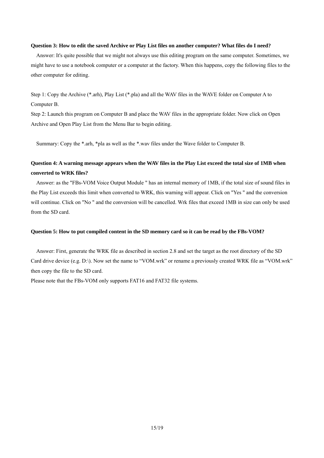#### **Question 3: How to edit the saved Archive or Play List files on another computer? What files do I need?**

Answer: It's quite possible that we might not always use this editing program on the same computer. Sometimes, we might have to use a notebook computer or a computer at the factory. When this happens, copy the following files to the other computer for editing.

Step 1: Copy the Archive (\*.arh), Play List (\*.pla) and all the WAV files in the WAVE folder on Computer A to Computer B.

Step 2: Launch this program on Computer B and place the WAV files in the appropriate folder. Now click on Open Archive and Open Play List from the Menu Bar to begin editing.

Summary: Copy the \*.arh, \*pla as well as the \*.wav files under the Wave folder to Computer B.

#### **Question 4: A warning message appears when the WAV files in the Play List exceed the total size of 1MB when converted to WRK files?**

Answer: as the "FBs-VOM Voice Output Module " has an internal memory of 1MB, if the total size of sound files in the Play List exceeds this limit when converted to WRK, this warning will appear. Click on "Yes " and the conversion will continue. Click on "No " and the conversion will be cancelled. Wrk files that exceed 1MB in size can only be used from the SD card.

#### **Question 5: How to put compiled content in the SD memory card so it can be read by the FBs-VOM?**

Answer: First, generate the WRK file as described in section 2.8 and set the target as the root directory of the SD Card drive device (e.g. D:\). Now set the name to "VOM.wrk" or rename a previously created WRK file as "VOM.wrk" then copy the file to the SD card.

Please note that the FBs-VOM only supports FAT16 and FAT32 file systems.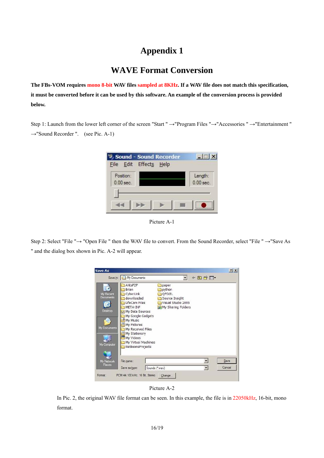## **Appendix 1**

#### **WAVE Format Conversion**

**The FBs-VOM requires mono 8-bit WAV files sampled at 8KHz. If a WAV file does not match this specification, it must be converted before it can be used by this software. An example of the conversion process is provided below.** 

Step 1: Launch from the lower left corner of the screen "Start " →"Program Files "→"Accessories " →"Entertainment "  $\rightarrow$ "Sound Recorder ". (see Pic. A-1)



Picture A-1

Step 2: Select "File "→ "Open File " then the WAV file to convert. From the Sound Recorder, select "File " →"Save As " and the dialog box shown in Pic. A-2 will appear.



Picture A-2

In Pic. 2, the original WAV file format can be seen. In this example, the file is in 22050kHz, 16-bit, mono format.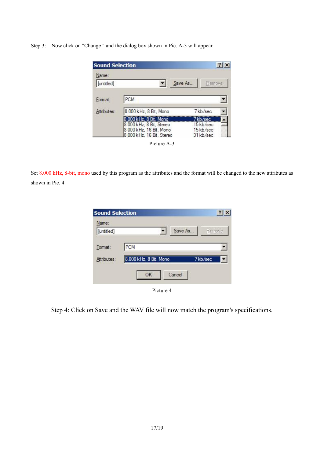Step 3: Now click on "Change " and the dialog box shown in Pic. A-3 will appear.

| <b>Sound Selection</b> |                                                     | ?                        |
|------------------------|-----------------------------------------------------|--------------------------|
| Name:                  |                                                     |                          |
| [untitled]             |                                                     | Save As<br><b>Remove</b> |
| Format:                | PCM                                                 |                          |
| Attributes:            | 8.000 kHz, 8 Bit, Mono                              | 7kb/sec                  |
|                        |                                                     |                          |
|                        | .000 kHz, 8 Bit, Mono                               | 7 kb/sec                 |
|                        | 8.000 kHz, 8 Bit, Stereo<br>8.000 kHz, 16 Bit, Mono | 15 kb/sec<br>15 kb/sec   |



Set 8.000 kHz, 8-bit, mono used by this program as the attributes and the format will be changed to the new attributes as shown in Pic. 4.

| <b>Sound Selection</b> |                        | $?$ $\times$ |
|------------------------|------------------------|--------------|
| Name:                  |                        |              |
| [untitled]             | Save As                | Remove       |
| Format:                | PCM                    |              |
| Attributes:            | 8.000 kHz, 8 Bit, Mono | 7kb/sec      |
|                        | Cancel<br>OK           |              |

Picture 4

Step 4: Click on Save and the WAV file will now match the program's specifications.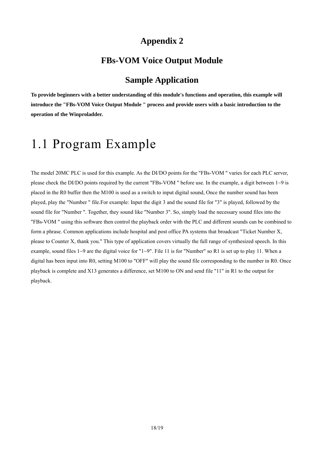### **Appendix 2**

#### **FBs-VOM Voice Output Module**

#### **Sample Application**

**To provide beginners with a better understanding of this module's functions and operation, this example will introduce the "FBs-VOM Voice Output Module " process and provide users with a basic introduction to the operation of the Winproladder.** 

## 1.1 Program Example

The model 20MC PLC is used for this example. As the DI/DO points for the "FBs-VOM " varies for each PLC server, please check the DI/DO points required by the current "FBs-VOM" before use. In the example, a digit between  $1~9$  is placed in the R0 buffer then the M100 is used as a switch to input digital sound, Once the number sound has been played, play the "Number " file.For example: Input the digit 3 and the sound file for "3" is played, followed by the sound file for "Number ". Together, they sound like "Number 3". So, simply load the necessary sound files into the "FBs-VOM " using this software then control the playback order with the PLC and different sounds can be combined to form a phrase. Common applications include hospital and post office PA systems that broadcast "Ticket Number X, please to Counter X, thank you." This type of application covers virtually the full range of synthesized speech. In this example, sound files  $1~9$  are the digital voice for " $1~9$ ". File 11 is for "Number" so R1 is set up to play 11. When a digital has been input into R0, setting M100 to "OFF" will play the sound file corresponding to the number in R0. Once playback is complete and X13 generates a difference, set M100 to ON and send file "11" in R1 to the output for playback.